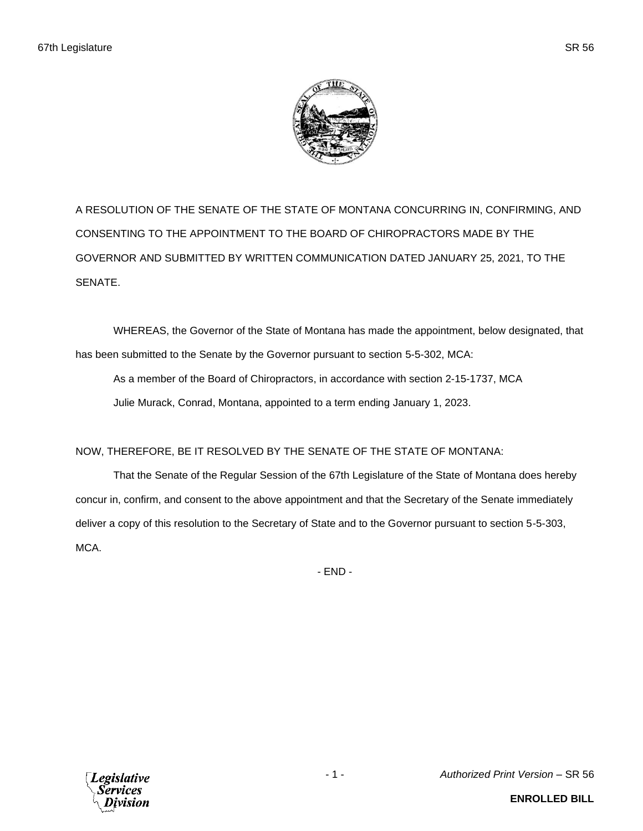A RESOLUTION OF THE SENATE OF THE STATE OF MONTANA CONCURRING IN, CONFIRMING, AND CONSENTING TO THE APPOINTMENT TO THE BOARD OF CHIROPRACTORS MADE BY THE GOVERNOR AND SUBMITTED BY WRITTEN COMMUNICATION DATED JANUARY 25, 2021, TO THE SENATE.

WHEREAS, the Governor of the State of Montana has made the appointment, below designated, that has been submitted to the Senate by the Governor pursuant to section 5-5-302, MCA:

As a member of the Board of Chiropractors, in accordance with section 2-15-1737, MCA Julie Murack, Conrad, Montana, appointed to a term ending January 1, 2023.

## NOW, THEREFORE, BE IT RESOLVED BY THE SENATE OF THE STATE OF MONTANA:

That the Senate of the Regular Session of the 67th Legislature of the State of Montana does hereby concur in, confirm, and consent to the above appointment and that the Secretary of the Senate immediately deliver a copy of this resolution to the Secretary of State and to the Governor pursuant to section 5-5-303, MCA.

- END -

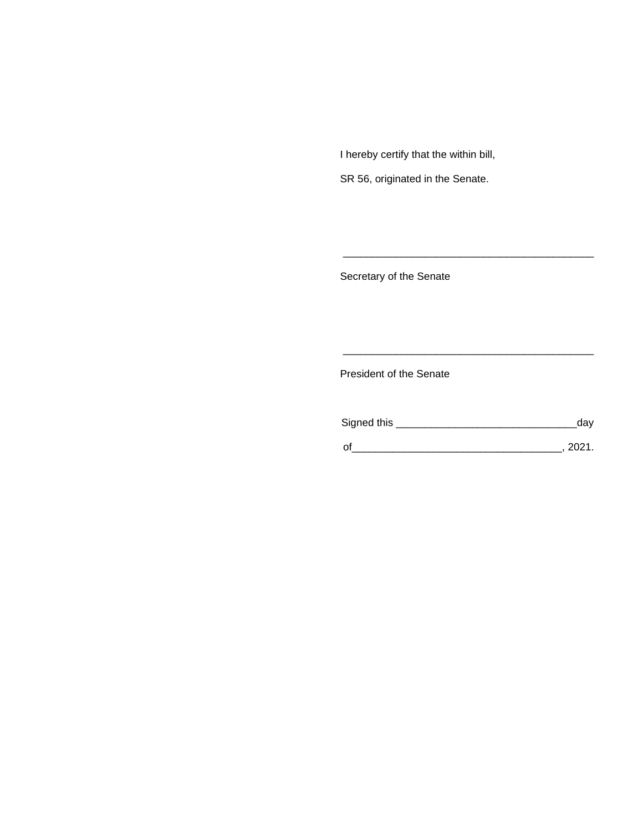I hereby certify that the within bill,

SR 56, originated in the Senate.

Secretary of the Senate

President of the Senate

| Signed this | dav  |
|-------------|------|
|             | 2021 |

\_\_\_\_\_\_\_\_\_\_\_\_\_\_\_\_\_\_\_\_\_\_\_\_\_\_\_\_\_\_\_\_\_\_\_\_\_\_\_\_\_\_\_

\_\_\_\_\_\_\_\_\_\_\_\_\_\_\_\_\_\_\_\_\_\_\_\_\_\_\_\_\_\_\_\_\_\_\_\_\_\_\_\_\_\_\_